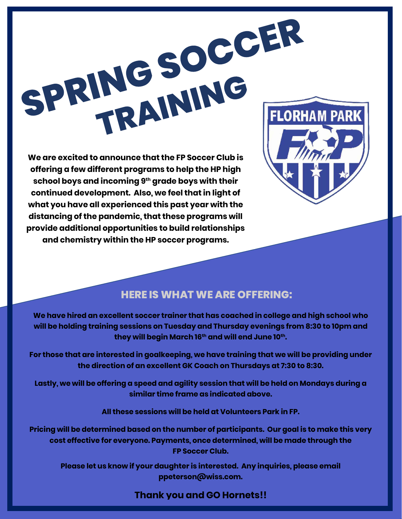

**offering a few different programs to help the HP high school boys and incoming 9th grade boys with their continued development. Also, we feel that in light of what you have all experienced this past year with the distancing of the pandemic, that these programs will provide additional opportunities to build relationships and chemistry within the HP soccer programs.**



## **HERE IS WHAT WE ARE OFFERING:**

**We have hired an excellent soccer trainer that has coached in college and high school who will be holding training sessions on Tuesday and Thursday evenings from 8:30 to 10pm and they will begin March 16th and will end June 10th.** 

**For those that are interested in goalkeeping, we have training that we will be providing under the direction of an excellent GK Coach on Thursdays at 7:30 to 8:30.**

**Lastly, we will be offering a speed and agility session that will be held on Mondays during a similar time frame as indicated above.**

**All these sessions will be held at Volunteers Park in FP.**

**Pricing will be determined based on the number of participants. Our goal is to make this very cost effective for everyone. Payments, once determined, will be made through the FP Soccer Club.**

**Please let us know if your daughter is interested. Any inquiries, please email ppeterson@wiss.com.** 

## **Thank you and GO Hornets!!**